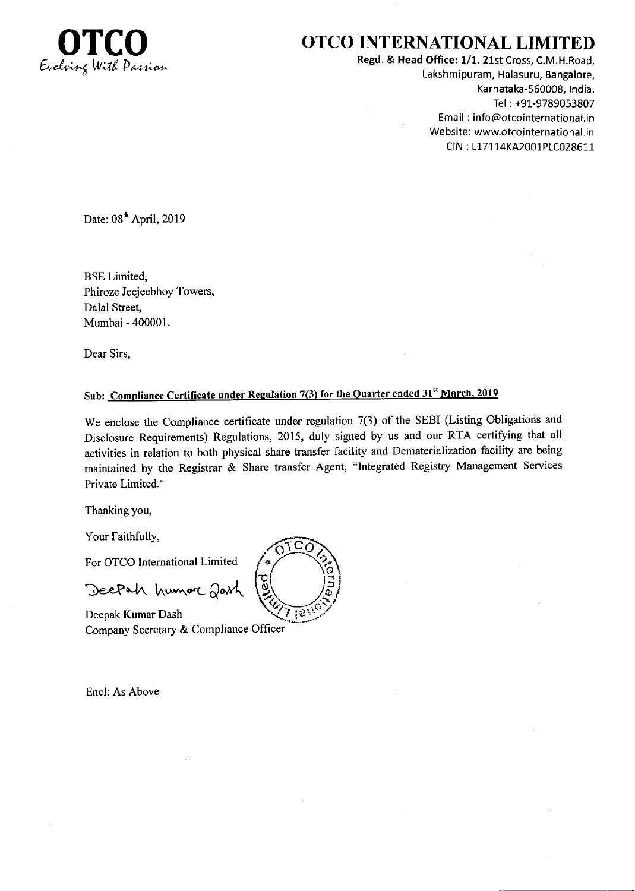

## OTCO INTERNATIONAL LIMITED

Regd. & Head Office: 1/1, 21st Cross, C.M.H.Road, Lakshmipuram, Halasuru, Bangalore, Karnataka-560008, India. Tel : +91-9789053807 Email : info@otcointernational.in Website: wwwotcointernational.in CIN : 117114KA2001P1C028611

Date: 08<sup>th</sup> April, 2019

BSE Limited, Phiroze Jeejeebhoy Towers, Dalal Street, Mumbai - 400001.

Dear Sirs,

## Sub: Compliance Certificate under Regulation 7(3) for the Quarter ended 31<sup>st</sup> March, 2019

We enclose the Compliance certificate under regulation 7(3) of the SEBI (Listing Obligations and Disclosure Requirements) Regulations, 2015, duly signed by us and our RTA certifying that all activities in relation to both physical share transfer facility and Dematerialization facility are being maintained by the Registrar & Share transfer Agent, "Integrated Registry Management Services Private Limited."

Thanking you,

Your Faithfully,

For OTCO Intemational Limited

Deepah humore Jash

Company Secretary & Compliance Officer Deepak Kumar Dash  $\sqrt{2}$ 

Encl: As Above